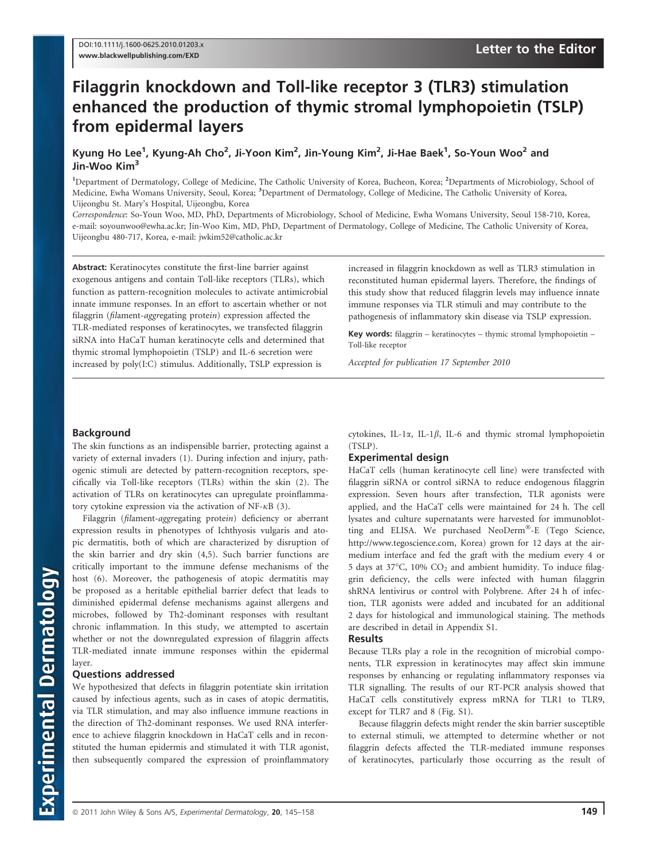# Filaggrin knockdown and Toll-like receptor 3 (TLR3) stimulation enhanced the production of thymic stromal lymphopoietin (TSLP) from epidermal layers

Kyung Ho Lee<sup>1</sup>, Kyung-Ah Cho<sup>2</sup>, Ji-Yoon Kim<sup>2</sup>, Jin-Young Kim<sup>2</sup>, Ji-Hae Baek<sup>1</sup>, So-Youn Woo<sup>2</sup> and Jin-Woo Kim<sup>3</sup>

<sup>1</sup>Department of Dermatology, College of Medicine, The Catholic University of Korea, Bucheon, Korea; <sup>2</sup>Departments of Microbiology, School of Medicine, Ewha Womans University, Seoul, Korea; <sup>3</sup>Department of Dermatology, College of Medicine, The Catholic University of Korea, Uijeongbu St. Mary's Hospital, Uijeongbu, Korea

Correspondence: So-Youn Woo, MD, PhD, Departments of Microbiology, School of Medicine, Ewha Womans University, Seoul 158-710, Korea, e-mail: soyounwoo@ewha.ac.kr; Jin-Woo Kim, MD, PhD, Department of Dermatology, College of Medicine, The Catholic University of Korea, Uijeongbu 480-717, Korea, e-mail: jwkim52@catholic.ac.kr

Abstract: Keratinocytes constitute the first-line barrier against exogenous antigens and contain Toll-like receptors (TLRs), which function as pattern-recognition molecules to activate antimicrobial innate immune responses. In an effort to ascertain whether or not filaggrin (filament-aggregating protein) expression affected the TLR-mediated responses of keratinocytes, we transfected filaggrin siRNA into HaCaT human keratinocyte cells and determined that thymic stromal lymphopoietin (TSLP) and IL-6 secretion were increased by poly(I:C) stimulus. Additionally, TSLP expression is

increased in filaggrin knockdown as well as TLR3 stimulation in reconstituted human epidermal layers. Therefore, the findings of this study show that reduced filaggrin levels may influence innate immune responses via TLR stimuli and may contribute to the pathogenesis of inflammatory skin disease via TSLP expression.

Key words: filaggrin – keratinocytes – thymic stromal lymphopoietin – Toll-like receptor

Accepted for publication 17 September 2010

## **Background**

The skin functions as an indispensible barrier, protecting against a variety of external invaders (1). During infection and injury, pathogenic stimuli are detected by pattern-recognition receptors, specifically via Toll-like receptors (TLRs) within the skin (2). The activation of TLRs on keratinocytes can upregulate proinflammatory cytokine expression via the activation of NF- $\kappa$ B (3).

Filaggrin (filament-aggregating protein) deficiency or aberrant expression results in phenotypes of Ichthyosis vulgaris and atopic dermatitis, both of which are characterized by disruption of the skin barrier and dry skin (4,5). Such barrier functions are critically important to the immune defense mechanisms of the host (6). Moreover, the pathogenesis of atopic dermatitis may be proposed as a heritable epithelial barrier defect that leads to diminished epidermal defense mechanisms against allergens and microbes, followed by Th2-dominant responses with resultant chronic inflammation. In this study, we attempted to ascertain whether or not the downregulated expression of filaggrin affects TLR-mediated innate immune responses within the epidermal layer.

### Questions addressed

We hypothesized that defects in filaggrin potentiate skin irritation caused by infectious agents, such as in cases of atopic dermatitis, via TLR stimulation, and may also influence immune reactions in the direction of Th2-dominant responses. We used RNA interference to achieve filaggrin knockdown in HaCaT cells and in reconstituted the human epidermis and stimulated it with TLR agonist, then subsequently compared the expression of proinflammatory

cytokines, IL-1 $\alpha$ , IL-1 $\beta$ , IL-6 and thymic stromal lymphopoietin (TSLP).

### Experimental design

HaCaT cells (human keratinocyte cell line) were transfected with filaggrin siRNA or control siRNA to reduce endogenous filaggrin expression. Seven hours after transfection, TLR agonists were applied, and the HaCaT cells were maintained for 24 h. The cell lysates and culture supernatants were harvested for immunoblotting and ELISA. We purchased NeoDerm®-E (Tego Science, http://www.tegoscience.com, Korea) grown for 12 days at the airmedium interface and fed the graft with the medium every 4 or 5 days at 37°C, 10%  $CO<sub>2</sub>$  and ambient humidity. To induce filaggrin deficiency, the cells were infected with human filaggrin shRNA lentivirus or control with Polybrene. After 24 h of infection, TLR agonists were added and incubated for an additional 2 days for histological and immunological staining. The methods are described in detail in Appendix S1.

#### Results

Because TLRs play a role in the recognition of microbial components, TLR expression in keratinocytes may affect skin immune responses by enhancing or regulating inflammatory responses via TLR signalling. The results of our RT-PCR analysis showed that HaCaT cells constitutively express mRNA for TLR1 to TLR9, except for TLR7 and 8 (Fig. S1).

Because filaggrin defects might render the skin barrier susceptible to external stimuli, we attempted to determine whether or not filaggrin defects affected the TLR-mediated immune responses of keratinocytes, particularly those occurring as the result of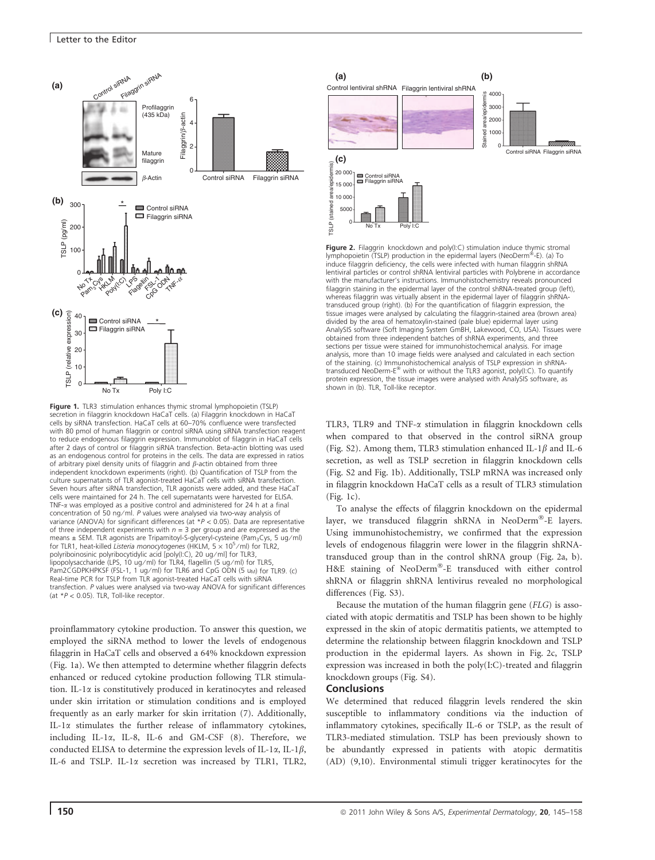

Figure 1. TLR3 stimulation enhances thymic stromal lymphopoietin (TSLP) secretion in filaggrin knockdown HaCaT cells. (a) Filaggrin knockdown in HaCaT cells by siRNA transfection. HaCaT cells at 60–70% confluence were transfected with 80 pmol of human filaggrin or control siRNA using siRNA transfection reagent to reduce endogenous filaggrin expression. Immunoblot of filaggrin in HaCaT cells after 2 days of control or filaggrin siRNA transfection. Beta-actin blotting was used as an endogenous control for proteins in the cells. The data are expressed in ratios of arbitrary pixel density units of filaggrin and  $\beta$ -actin obtained from three independent knockdown experiments (right). (b) Quantification of TSLP from the culture supernatants of TLR agonist-treated HaCaT cells with siRNA transfection. Seven hours after siRNA transfection, TLR agonists were added, and these HaCaT cells were maintained for 24 h. The cell supernatants were harvested for ELISA. TNF- $\alpha$  was employed as a positive control and administered for 24 h at a final concentration of 50 ng ⁄ ml. P values were analysed via two-way analysis of variance (ANOVA) for significant differences (at  $*P < 0.05$ ). Data are representative of three independent experiments with  $n = 3$  per group and are expressed as the means ± SEM. TLR agonists are Tripamitoyl-S-glyceryl-cysteine (Pam<sub>3</sub>Cys, 5 ug/ml) for TLR1, heat-killed Listeria monocytogenes (HKLM,  $5 \times 10^5$ /ml) for TLR2, polyriboinosinic polyribocytidylic acid [poly(I:C), 20 ug/ml] for TLR3, lipopolysaccharide (LPS, 10 ug ⁄ ml) for TLR4, flagellin (5 ug ⁄ ml) for TLR5, Pam2CGDPKHPKSF (FSL-1, 1 ug/ml) for TLR6 and CpG ODN (5 um) for TLR9. (c) Real-time PCR for TSLP from TLR agonist-treated HaCaT cells with siRNA transfection. P values were analysed via two-way ANOVA for significant differences (at \*P < 0.05). TLR, Toll-like receptor.

proinflammatory cytokine production. To answer this question, we employed the siRNA method to lower the levels of endogenous filaggrin in HaCaT cells and observed a 64% knockdown expression (Fig. 1a). We then attempted to determine whether filaggrin defects enhanced or reduced cytokine production following TLR stimulation. IL-1a is constitutively produced in keratinocytes and released under skin irritation or stimulation conditions and is employed frequently as an early marker for skin irritation (7). Additionally, IL-1a stimulates the further release of inflammatory cytokines, including IL-1a, IL-8, IL-6 and GM-CSF (8). Therefore, we conducted ELISA to determine the expression levels of IL-1 $\alpha$ , IL-1 $\beta$ , IL-6 and TSLP. IL-1a secretion was increased by TLR1, TLR2,



**Figure 2.** Filaggrin knockdown and poly(I:C) stimulation induce thymic stromal<br>lymphopoietin (TSLP) production in the epidermal layers (NeoDerm®-E). (a) To induce filaggrin deficiency, the cells were infected with human filaggrin shRNA lentiviral particles or control shRNA lentiviral particles with Polybrene in accordance with the manufacturer's instructions. Immunohistochemistry reveals pronounced filaggrin staining in the epidermal layer of the control shRNA-treated group (left), whereas filaggrin was virtually absent in the epidermal layer of filaggrin shRNAtransduced group (right). (b) For the quantification of filaggrin expression, the tissue images were analysed by calculating the filaggrin-stained area (brown area) divided by the area of hematoxylin-stained (pale blue) epidermal layer using AnalySIS software (Soft Imaging System GmBH, Lakewood, CO, USA). Tissues were obtained from three independent batches of shRNA experiments, and three sections per tissue were stained for immunohistochemical analysis. For image analysis, more than 10 image fields were analysed and calculated in each section of the staining. (c) Immunohistochemical analysis of TSLP expression in shRNAtransduced NeoDerm-E<sup>®</sup> with or without the TLR3 agonist, poly(I:C). To quantify protein expression, the tissue images were analysed with AnalySIS software, as shown in (b). TLR, Toll-like receptor.

TLR3, TLR9 and TNF- $\alpha$  stimulation in filaggrin knockdown cells when compared to that observed in the control siRNA group (Fig. S2). Among them, TLR3 stimulation enhanced IL-1 $\beta$  and IL-6 secretion, as well as TSLP secretion in filaggrin knockdown cells (Fig. S2 and Fig. 1b). Additionally, TSLP mRNA was increased only in filaggrin knockdown HaCaT cells as a result of TLR3 stimulation (Fig. 1c).

To analyse the effects of filaggrin knockdown on the epidermal layer, we transduced filaggrin shRNA in NeoDerm<sup>®</sup>-E layers. Using immunohistochemistry, we confirmed that the expression levels of endogenous filaggrin were lower in the filaggrin shRNAtransduced group than in the control shRNA group (Fig. 2a, b). H&E staining of NeoDerm®-E transduced with either control shRNA or filaggrin shRNA lentivirus revealed no morphological differences (Fig. S3).

Because the mutation of the human filaggrin gene (FLG) is associated with atopic dermatitis and TSLP has been shown to be highly expressed in the skin of atopic dermatitis patients, we attempted to determine the relationship between filaggrin knockdown and TSLP production in the epidermal layers. As shown in Fig. 2c, TSLP expression was increased in both the poly(I:C)-treated and filaggrin knockdown groups (Fig. S4).

#### **Conclusions**

We determined that reduced filaggrin levels rendered the skin susceptible to inflammatory conditions via the induction of inflammatory cytokines, specifically IL-6 or TSLP, as the result of TLR3-mediated stimulation. TSLP has been previously shown to be abundantly expressed in patients with atopic dermatitis (AD) (9,10). Environmental stimuli trigger keratinocytes for the